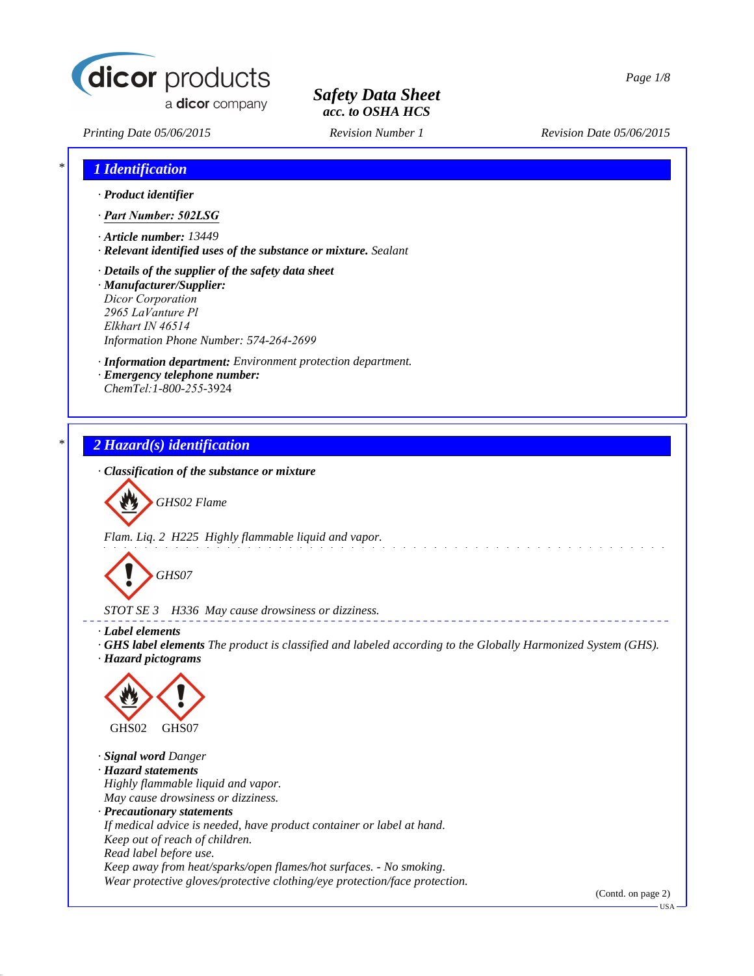

*Printing Date 05/06/2015 Revision Number 1 Revision Date 05/06/2015*

| · Product identifier                                                                                                                                                                                |                                                                 |  |  |
|-----------------------------------------------------------------------------------------------------------------------------------------------------------------------------------------------------|-----------------------------------------------------------------|--|--|
| · Part Number: 502LSG                                                                                                                                                                               |                                                                 |  |  |
| $\cdot$ Article number: 13449                                                                                                                                                                       | · Relevant identified uses of the substance or mixture. Sealant |  |  |
| $\cdot$ Details of the supplier of the safety data sheet<br>· Manufacturer/Supplier:<br><b>Dicor Corporation</b><br>2965 LaVanture Pl<br>Elkhart IN 46514<br>Information Phone Number: 574-264-2699 |                                                                 |  |  |
| · Emergency telephone number:<br>ChemTel: 1-800-255-3924                                                                                                                                            | · Information department: Environment protection department.    |  |  |
| 2 Hazard(s) identification                                                                                                                                                                          |                                                                 |  |  |



*Flam. Liq. 2 H225 Highly flammable liquid and vapor.*



*STOT SE 3 H336 May cause drowsiness or dizziness.*

- *· Label elements*
- *· GHS label elements The product is classified and labeled according to the Globally Harmonized System (GHS).*

a dia manana amin'ny fivondronan-k

*· Hazard pictograms*



*· Signal word Danger · Hazard statements Highly flammable liquid and vapor. May cause drowsiness or dizziness. · Precautionary statements If medical advice is needed, have product container or label at hand. Keep out of reach of children. Read label before use. Keep away from heat/sparks/open flames/hot surfaces. - No smoking. Wear protective gloves/protective clothing/eye protection/face protection.*

(Contd. on page 2)

USA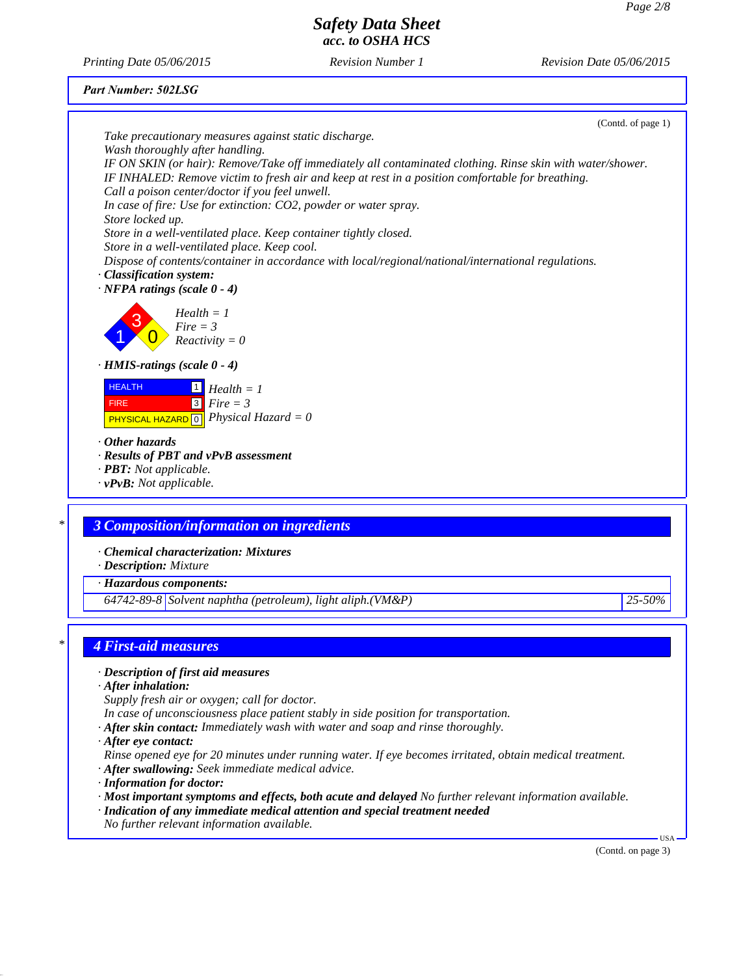*Printing Date 05/06/2015 Revision Number 1 Revision Date 05/06/2015*

#### *Part Number: 502LSG*



- *In case of unconsciousness place patient stably in side position for transportation.*
- *· After skin contact: Immediately wash with water and soap and rinse thoroughly.*
- *· After eye contact:*

*Rinse opened eye for 20 minutes under running water. If eye becomes irritated, obtain medical treatment. · After swallowing: Seek immediate medical advice.*

- *· Information for doctor:*
- *· Most important symptoms and effects, both acute and delayed No further relevant information available.*
- *· Indication of any immediate medical attention and special treatment needed*
- *No further relevant information available.*

(Contd. on page 3)

USA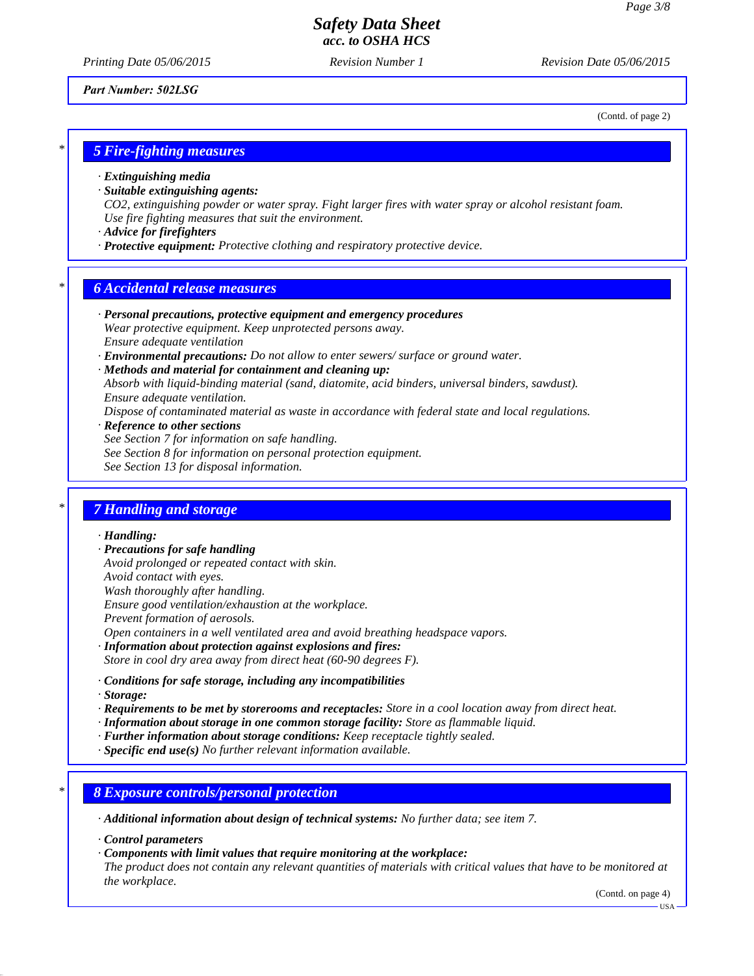*Printing Date 05/06/2015 Revision Number 1 Revision Date 05/06/2015*

*Part Number: 502LSG*

(Contd. of page 2)

### *\* 5 Fire-fighting measures*

- *· Extinguishing media*
- *· Suitable extinguishing agents:*

*CO2, extinguishing powder or water spray. Fight larger fires with water spray or alcohol resistant foam. Use fire fighting measures that suit the environment.*

- *· Advice for firefighters*
- *· Protective equipment: Protective clothing and respiratory protective device.*

### *\* 6 Accidental release measures*

- *· Personal precautions, protective equipment and emergency procedures Wear protective equipment. Keep unprotected persons away. Ensure adequate ventilation*
- *· Environmental precautions: Do not allow to enter sewers/ surface or ground water.*
- *· Methods and material for containment and cleaning up: Absorb with liquid-binding material (sand, diatomite, acid binders, universal binders, sawdust). Ensure adequate ventilation.*

*Dispose of contaminated material as waste in accordance with federal state and local regulations.*

- *· Reference to other sections*
- *See Section 7 for information on safe handling.*
- *See Section 8 for information on personal protection equipment.*
- *See Section 13 for disposal information.*

#### *\* 7 Handling and storage*

#### *· Handling:*

- *· Precautions for safe handling*
- *Avoid prolonged or repeated contact with skin.*
- *Avoid contact with eyes.*
- *Wash thoroughly after handling.*
- *Ensure good ventilation/exhaustion at the workplace.*
- *Prevent formation of aerosols.*
- *Open containers in a well ventilated area and avoid breathing headspace vapors.*
- *· Information about protection against explosions and fires:*
- *Store in cool dry area away from direct heat (60-90 degrees F).*
- *· Conditions for safe storage, including any incompatibilities*
- *· Storage:*
- *· Requirements to be met by storerooms and receptacles: Store in a cool location away from direct heat.*
- *· Information about storage in one common storage facility: Store as flammable liquid.*
- *· Further information about storage conditions: Keep receptacle tightly sealed.*
- *· Specific end use(s) No further relevant information available.*

### *\* 8 Exposure controls/personal protection*

- *· Additional information about design of technical systems: No further data; see item 7.*
- *· Control parameters*
- *· Components with limit values that require monitoring at the workplace:*

*The product does not contain any relevant quantities of materials with critical values that have to be monitored at the workplace.*

(Contd. on page 4)

USA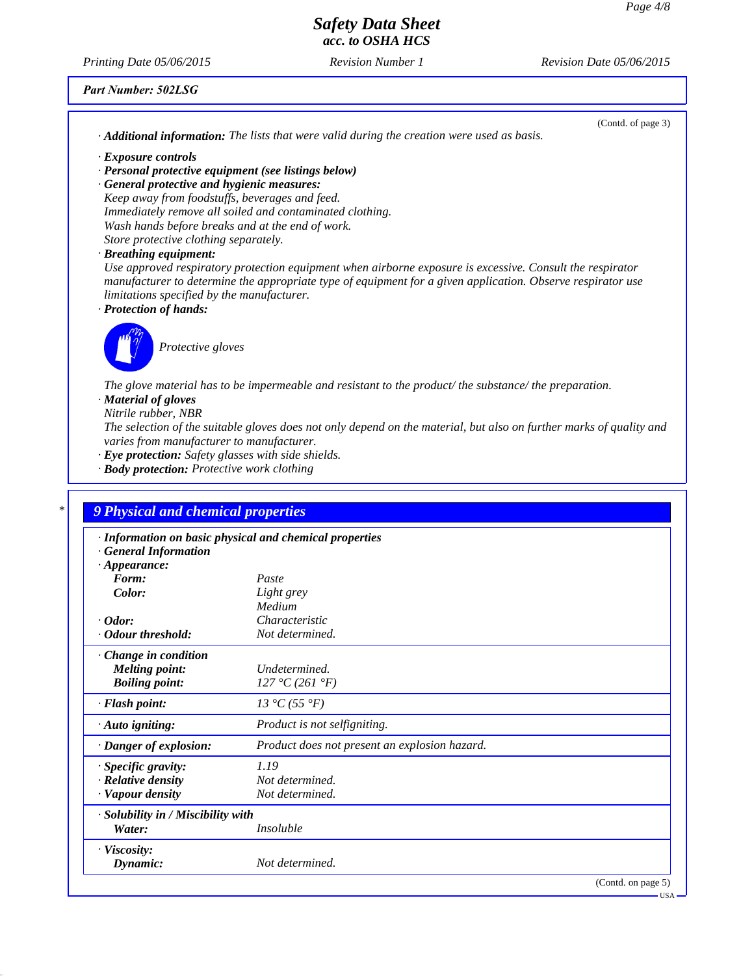USA

# *Safety Data Sheet acc. to OSHA HCS*

*Printing Date 05/06/2015 Revision Number 1 Revision Date 05/06/2015*

### *Part Number: 502LSG*

| $\cdot$ <b>Additional information:</b> The lists that were valid during the creation were used as basis.                                                                                                                                                                                         | (Contd. of page 3) |
|--------------------------------------------------------------------------------------------------------------------------------------------------------------------------------------------------------------------------------------------------------------------------------------------------|--------------------|
| · Exposure controls                                                                                                                                                                                                                                                                              |                    |
| · Personal protective equipment (see listings below)                                                                                                                                                                                                                                             |                    |
| · General protective and hygienic measures:                                                                                                                                                                                                                                                      |                    |
| Keep away from foodstuffs, beverages and feed.                                                                                                                                                                                                                                                   |                    |
| Immediately remove all soiled and contaminated clothing.                                                                                                                                                                                                                                         |                    |
| Wash hands before breaks and at the end of work.                                                                                                                                                                                                                                                 |                    |
| Store protective clothing separately.                                                                                                                                                                                                                                                            |                    |
| · Breathing equipment:                                                                                                                                                                                                                                                                           |                    |
| Use approved respiratory protection equipment when airborne exposure is excessive. Consult the respirator<br>manufacturer to determine the appropriate type of equipment for a given application. Observe respirator use<br>limitations specified by the manufacturer.<br>· Protection of hands: |                    |
| Protective gloves                                                                                                                                                                                                                                                                                |                    |
| The glove material has to be impermeable and resistant to the product/the substance/the preparation.                                                                                                                                                                                             |                    |
| · Material of gloves                                                                                                                                                                                                                                                                             |                    |
| Nitrile rubber, NBR                                                                                                                                                                                                                                                                              |                    |
| The selection of the suitable gloves does not only depend on the material, but also on further marks of quality and<br>varies from manufacturer to manufacturer.                                                                                                                                 |                    |
| · Eye protection: Safety glasses with side shields.                                                                                                                                                                                                                                              |                    |

*· Body protection: Protective work clothing*

| · Information on basic physical and chemical properties |                               |
|---------------------------------------------------------|-------------------------------|
|                                                         |                               |
| Paste                                                   |                               |
|                                                         |                               |
| Medium                                                  |                               |
| Characteristic                                          |                               |
| Not determined.                                         |                               |
|                                                         |                               |
| Undetermined.                                           |                               |
| 127 °C (261 °F)                                         |                               |
| 13 °C (55 °F)                                           |                               |
| Product is not selfigniting.                            |                               |
| Product does not present an explosion hazard.           |                               |
| 1.19                                                    |                               |
| Not determined.                                         |                               |
| Not determined.                                         |                               |
| · Solubility in / Miscibility with                      |                               |
| <i>Insoluble</i>                                        |                               |
|                                                         |                               |
|                                                         | Light grey<br>Not determined. |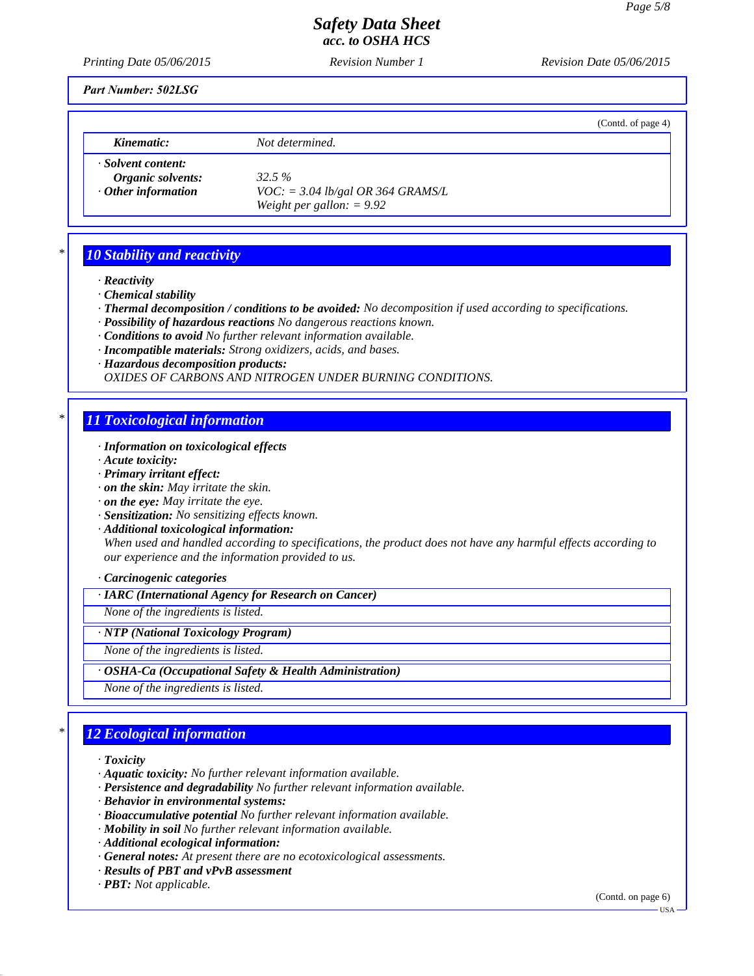*Printing Date 05/06/2015 Revision Number 1 Revision Date 05/06/2015*

*Part Number: 502LSG*

|                                                                      |                                                                              | (Contd. of page 4) |
|----------------------------------------------------------------------|------------------------------------------------------------------------------|--------------------|
| Kinematic:                                                           | Not determined.                                                              |                    |
| · Solvent content:<br>Organic solvents:<br>$\cdot$ Other information | 32.5%<br>$VOC$ : = 3.04 lb/gal OR 364 GRAMS/L<br>Weight per gallon: $= 9.92$ |                    |

## *\* 10 Stability and reactivity*

- *· Reactivity*
- *· Chemical stability*
- *· Thermal decomposition / conditions to be avoided: No decomposition if used according to specifications.*
- *· Possibility of hazardous reactions No dangerous reactions known.*
- *· Conditions to avoid No further relevant information available.*
- *· Incompatible materials: Strong oxidizers, acids, and bases.*
- *· Hazardous decomposition products:*

*OXIDES OF CARBONS AND NITROGEN UNDER BURNING CONDITIONS.*

### *\* 11 Toxicological information*

- *· Information on toxicological effects*
- *· Acute toxicity:*
- *· Primary irritant effect:*
- *· on the skin: May irritate the skin.*
- *· on the eye: May irritate the eye.*
- *· Sensitization: No sensitizing effects known.*
- *· Additional toxicological information: When used and handled according to specifications, the product does not have any harmful effects according to our experience and the information provided to us.*

#### *· Carcinogenic categories*

*· IARC (International Agency for Research on Cancer)*

*None of the ingredients is listed.*

*· NTP (National Toxicology Program)*

*None of the ingredients is listed.*

*· OSHA-Ca (Occupational Safety & Health Administration)*

*None of the ingredients is listed.*

# *\* 12 Ecological information*

*· Toxicity*

- *· Aquatic toxicity: No further relevant information available.*
- *· Persistence and degradability No further relevant information available.*
- *· Behavior in environmental systems:*
- *· Bioaccumulative potential No further relevant information available.*
- *· Mobility in soil No further relevant information available.*
- *· Additional ecological information:*
- *· General notes: At present there are no ecotoxicological assessments.*
- *· Results of PBT and vPvB assessment*
- *· PBT: Not applicable.*

(Contd. on page 6)

USA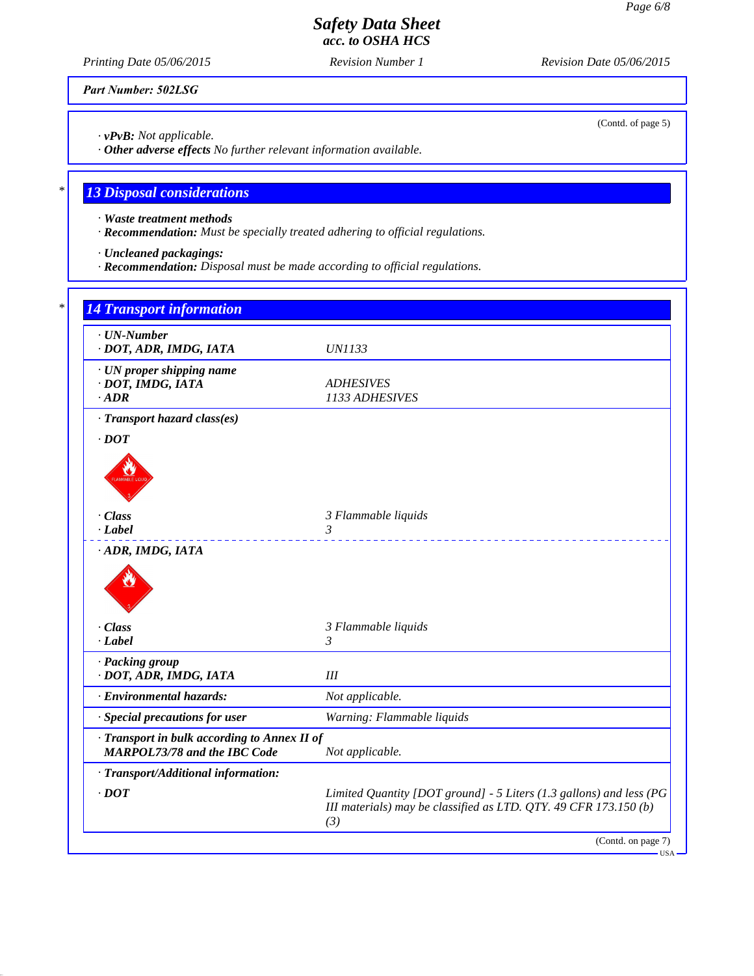*Printing Date 05/06/2015 Revision Number 1 Revision Date 05/06/2015*

*Part Number: 502LSG*

*· vPvB: Not applicable.*

*· Other adverse effects No further relevant information available.*

# *\* 13 Disposal considerations*

*· Waste treatment methods*

*· Recommendation: Must be specially treated adhering to official regulations.*

*· Uncleaned packagings:*

*· Recommendation: Disposal must be made according to official regulations.*

| $\cdot$ UN-Number<br>· DOT, ADR, IMDG, IATA                                         | <b>UN1133</b>                      |
|-------------------------------------------------------------------------------------|------------------------------------|
| · UN proper shipping name<br>· DOT, IMDG, IATA<br>$\cdot$ ADR                       | <b>ADHESIVES</b><br>1133 ADHESIVES |
| · Transport hazard class(es)                                                        |                                    |
| $\cdot$ DOT                                                                         |                                    |
| · Class<br>$-Label$                                                                 | 3 Flammable liquids<br>3           |
| · ADR, IMDG, IATA                                                                   |                                    |
| · Class                                                                             | 3 Flammable liquids                |
| $-Label$                                                                            | 3                                  |
| · Packing group<br>· DOT, ADR, IMDG, IATA                                           | III                                |
| · Environmental hazards:                                                            | Not applicable.                    |
| · Special precautions for user                                                      | Warning: Flammable liquids         |
| · Transport in bulk according to Annex II of<br><b>MARPOL73/78 and the IBC Code</b> | Not applicable.                    |
|                                                                                     |                                    |
| · Transport/Additional information:                                                 |                                    |

(Contd. of page 5)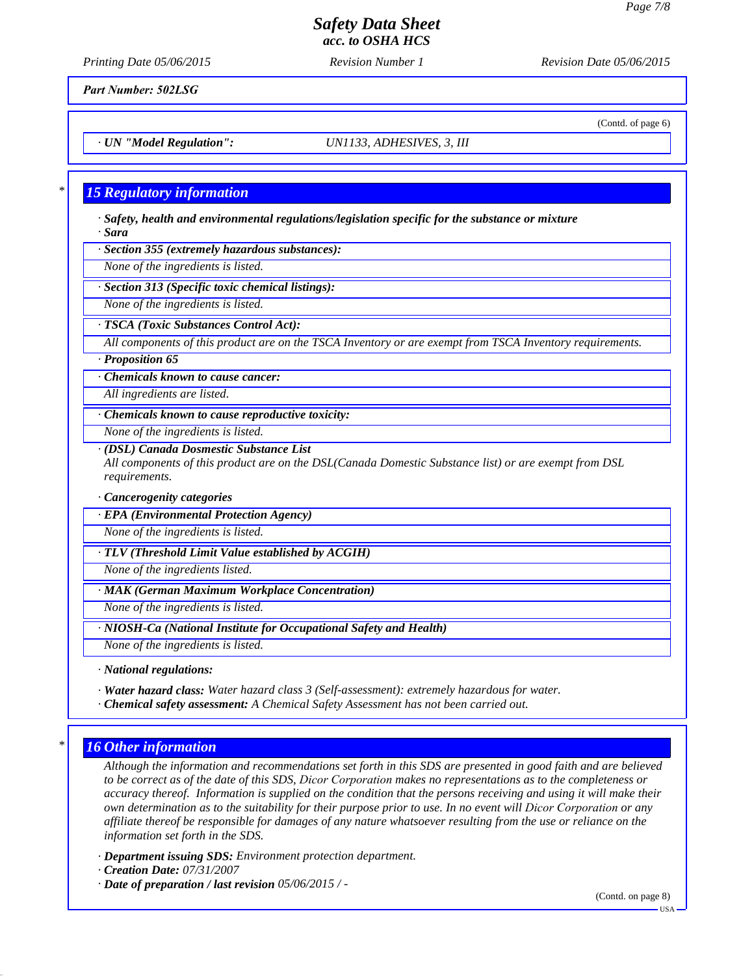(Contd. of page 6)

### *Safety Data Sheet acc. to OSHA HCS*

*Printing Date 05/06/2015 Revision Number 1 Revision Date 05/06/2015*

*Part Number: 502LSG*

*· UN "Model Regulation": UN1133, ADHESIVES, 3, III*

#### *\* 15 Regulatory information*

*· Safety, health and environmental regulations/legislation specific for the substance or mixture · Sara*

*· Section 355 (extremely hazardous substances):*

*None of the ingredients is listed.*

*· Section 313 (Specific toxic chemical listings):*

*None of the ingredients is listed.*

*· TSCA (Toxic Substances Control Act):*

*All components of this product are on the TSCA Inventory or are exempt from TSCA Inventory requirements.*

*· Proposition 65*

*· Chemicals known to cause cancer:*

*All ingredients are listed.*

*· Chemicals known to cause reproductive toxicity:*

*None of the ingredients is listed.*

*· (DSL) Canada Dosmestic Substance List*

*All components of this product are on the DSL(Canada Domestic Substance list) or are exempt from DSL requirements.*

*· Cancerogenity categories*

*· EPA (Environmental Protection Agency)*

*None of the ingredients is listed.*

*· TLV (Threshold Limit Value established by ACGIH)*

*None of the ingredients listed.*

*· MAK (German Maximum Workplace Concentration)*

*None of the ingredients is listed.*

*· NIOSH-Ca (National Institute for Occupational Safety and Health)*

*None of the ingredients is listed.*

*· National regulations:*

*· Water hazard class: Water hazard class 3 (Self-assessment): extremely hazardous for water.*

*· Chemical safety assessment: A Chemical Safety Assessment has not been carried out.*

### *\* 16 Other information*

*Although the information and recommendations set forth in this SDS are presented in good faith and are believed to be correct as of the date of this SDS, Dicor Corporation makes no representations as to the completeness or accuracy thereof. Information is supplied on the condition that the persons receiving and using it will make their own determination as to the suitability for their purpose prior to use. In no event will Dicor Corporation or any affiliate thereof be responsible for damages of any nature whatsoever resulting from the use or reliance on the information set forth in the SDS.*

*· Department issuing SDS: Environment protection department.*

*· Creation Date: 07/31/2007*

*· Date of preparation / last revision 05/06/2015 / -*

(Contd. on page 8)

USA